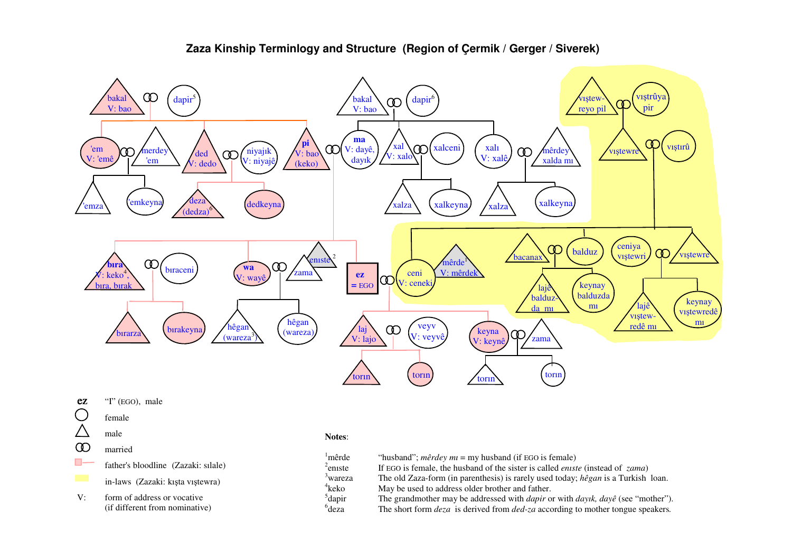

# **Zaza Kinship Terminlogy and Structure (Region of Çermik / Gerger / Siverek)**

- ez "I" (EGO), male
- $\bigcirc$  female
- $\triangle$  male
- married
- **father's bloodline** (Zazaki: sılale)
	- in-laws (Zazaki: kışta vıştewra)
- V: form of address or vocative (if different from nominative)

### **Notes**:

| 'mêrde              | "husband"; <i>mêrdey mu</i> = my husband (if EGO is female)                                           |
|---------------------|-------------------------------------------------------------------------------------------------------|
| $2$ eniste          | If EGO is female, the husband of the sister is called <i>eniste</i> (instead of <i>zama</i> )         |
| <sup>3</sup> wareza | The old Zaza-form (in parenthesis) is rarely used today; $h\hat{e}gan$ is a Turkish loan.             |
| $4$ keko            | May be used to address older brother and father.                                                      |
| $5$ dapir           | The grandmother may be addressed with <i>dapir</i> or with <i>dayik</i> , <i>dayê</i> (see "mother"). |
| $6$ <sub>deza</sub> | The short form <i>deza</i> is derived from <i>ded-za</i> according to mother tongue speakers.         |